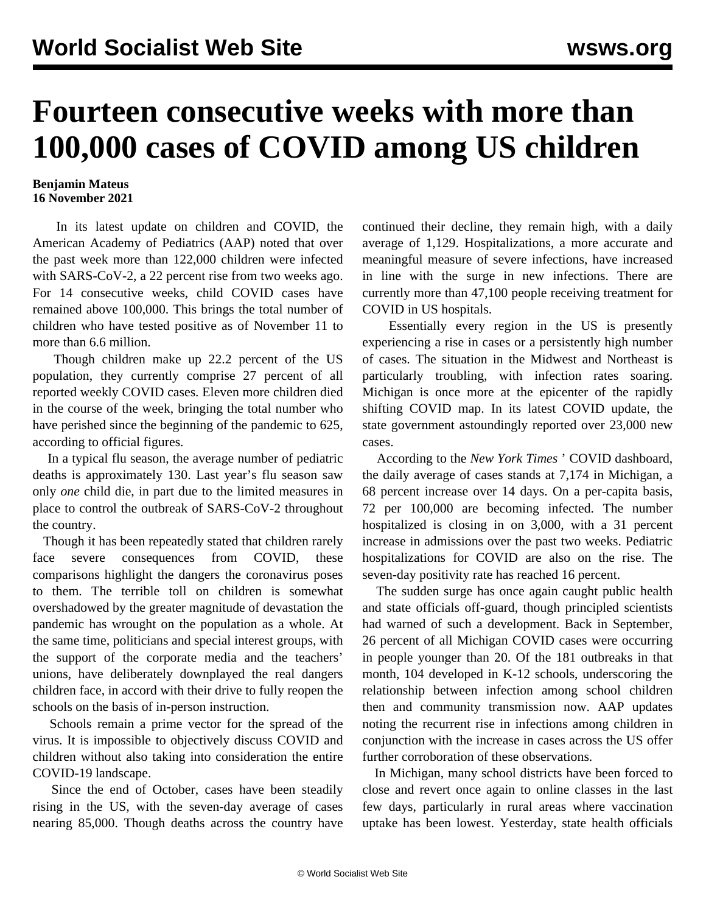## **Fourteen consecutive weeks with more than 100,000 cases of COVID among US children**

## **Benjamin Mateus 16 November 2021**

 In its latest update on children and COVID, the American Academy of Pediatrics (AAP) noted that over the past week more than 122,000 children were infected with SARS-CoV-2, a 22 percent rise from two weeks ago. For 14 consecutive weeks, child COVID cases have remained above 100,000. This brings the total number of children who have tested positive as of November 11 to more than 6.6 million.

 Though children make up 22.2 percent of the US population, they currently comprise 27 percent of all reported weekly COVID cases. Eleven more children died in the course of the week, bringing the total number who have perished since the beginning of the pandemic to 625, according to official figures.

 In a typical flu season, the average number of pediatric deaths is approximately 130. Last year's flu season saw only *one* child die, in part due to the limited measures in place to control the outbreak of SARS-CoV-2 throughout the country.

 Though it has been repeatedly stated that children rarely face severe consequences from COVID, these comparisons highlight the dangers the coronavirus poses to them. The terrible toll on children is somewhat overshadowed by the greater magnitude of devastation the pandemic has wrought on the population as a whole. At the same time, politicians and special interest groups, with the support of the corporate media and the teachers' unions, have deliberately downplayed the real dangers children face, in accord with their drive to fully reopen the schools on the basis of in-person instruction.

 Schools remain a prime vector for the spread of the virus. It is impossible to objectively discuss COVID and children without also taking into consideration the entire COVID-19 landscape.

 Since the end of October, cases have been steadily rising in the US, with the seven-day average of cases nearing 85,000. Though deaths across the country have

continued their decline, they remain high, with a daily average of 1,129. Hospitalizations, a more accurate and meaningful measure of severe infections, have increased in line with the surge in new infections. There are currently more than 47,100 people receiving treatment for COVID in US hospitals.

 Essentially every region in the US is presently experiencing a rise in cases or a persistently high number of cases. The situation in the Midwest and Northeast is particularly troubling, with infection rates soaring. Michigan is once more at the epicenter of the rapidly shifting COVID map. In its latest COVID update, the state government astoundingly reported over 23,000 new cases.

 According to the *New York Times* ' COVID dashboard, the daily average of cases stands at 7,174 in Michigan, a 68 percent increase over 14 days. On a per-capita basis, 72 per 100,000 are becoming infected. The number hospitalized is closing in on 3,000, with a 31 percent increase in admissions over the past two weeks. Pediatric hospitalizations for COVID are also on the rise. The seven-day positivity rate has reached 16 percent.

 The sudden surge has once again caught public health and state officials off-guard, though principled scientists had warned of such a development. Back in September, 26 percent of all Michigan COVID cases were occurring in people younger than 20. Of the 181 outbreaks in that month, 104 developed in K-12 schools, underscoring the relationship between infection among school children then and community transmission now. AAP updates noting the recurrent rise in infections among children in conjunction with the increase in cases across the US offer further corroboration of these observations.

 In Michigan, many school districts have been forced to close and revert once again to online classes in the last few days, particularly in rural areas where vaccination uptake has been lowest. Yesterday, state health officials